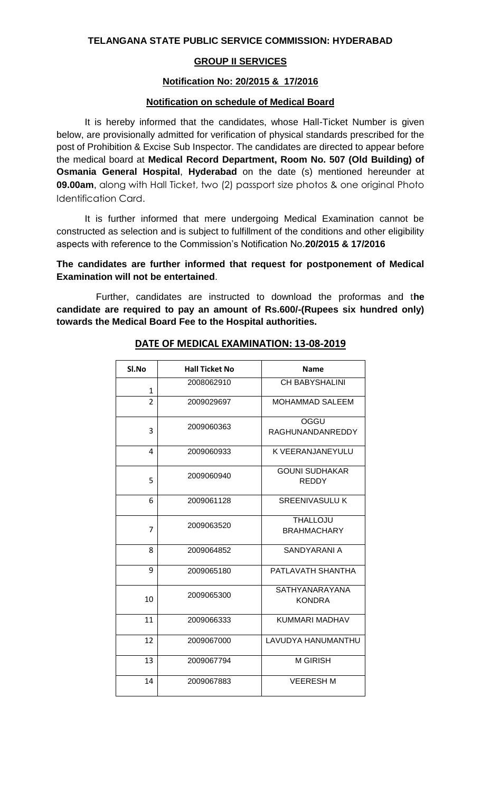## **GROUP II SERVICES**

#### **Notification No: 20/2015 & 17/2016**

### **Notification on schedule of Medical Board**

It is hereby informed that the candidates, whose Hall-Ticket Number is given below, are provisionally admitted for verification of physical standards prescribed for the post of Prohibition & Excise Sub Inspector. The candidates are directed to appear before the medical board at **Medical Record Department, Room No. 507 (Old Building) of Osmania General Hospital**, **Hyderabad** on the date (s) mentioned hereunder at **09.00am**, along with Hall Ticket, two (2) passport size photos & one original Photo Identification Card.

It is further informed that mere undergoing Medical Examination cannot be constructed as selection and is subject to fulfillment of the conditions and other eligibility aspects with reference to the Commission's Notification No.**20/2015 & 17/2016**

## **The candidates are further informed that request for postponement of Medical Examination will not be entertained**.

Further, candidates are instructed to download the proformas and t**he candidate are required to pay an amount of Rs.600/-(Rupees six hundred only) towards the Medical Board Fee to the Hospital authorities.**

| SI.No          | <b>Hall Ticket No</b> | <b>Name</b>                           |
|----------------|-----------------------|---------------------------------------|
| $\mathbf{1}$   | 2008062910            | <b>CH BABYSHALINI</b>                 |
| $\overline{2}$ | 2009029697            | MOHAMMAD SALEEM                       |
| 3              | 2009060363            | OGGU<br>RAGHUNANDANREDDY              |
| 4              | 2009060933            | K VEERANJANEYULU                      |
| 5              | 2009060940            | <b>GOUNI SUDHAKAR</b><br><b>REDDY</b> |
| 6              | 2009061128            | <b>SREENIVASULU K</b>                 |
| $\overline{7}$ | 2009063520            | <b>THALLOJU</b><br><b>BRAHMACHARY</b> |
| 8              | 2009064852            | SANDYARANI A                          |
| 9              | 2009065180            | PATLAVATH SHANTHA                     |
| 10             | 2009065300            | SATHYANARAYANA<br><b>KONDRA</b>       |
| 11             | 2009066333            | KUMMARI MADHAV                        |
| 12             | 2009067000            | LAVUDYA HANUMANTHU                    |
| 13             | 2009067794            | <b>M GIRISH</b>                       |
| 14             | 2009067883            | <b>VEERESH M</b>                      |

### **DATE OF MEDICAL EXAMINATION: 13-08-2019**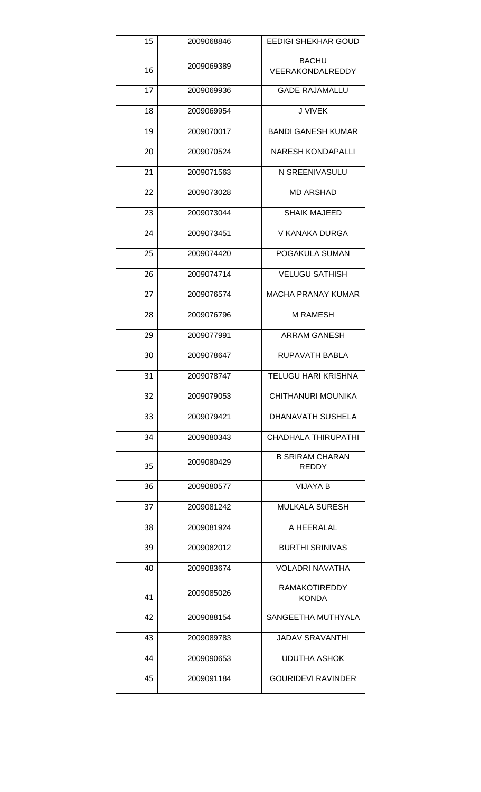| 15 | 2009068846 | <b>EEDIGI SHEKHAR GOUD</b>             |
|----|------------|----------------------------------------|
| 16 | 2009069389 | <b>BACHU</b><br>VEERAKONDALREDDY       |
| 17 | 2009069936 | <b>GADE RAJAMALLU</b>                  |
| 18 | 2009069954 | J VIVEK                                |
| 19 | 2009070017 | <b>BANDI GANESH KUMAR</b>              |
| 20 | 2009070524 | <b>NARESH KONDAPALLI</b>               |
| 21 | 2009071563 | N SREENIVASULU                         |
| 22 | 2009073028 | <b>MD ARSHAD</b>                       |
| 23 | 2009073044 | <b>SHAIK MAJEED</b>                    |
| 24 | 2009073451 | V KANAKA DURGA                         |
| 25 | 2009074420 | POGAKULA SUMAN                         |
| 26 | 2009074714 | <b>VELUGU SATHISH</b>                  |
| 27 | 2009076574 | MACHA PRANAY KUMAR                     |
| 28 | 2009076796 | M RAMESH                               |
| 29 | 2009077991 | <b>ARRAM GANESH</b>                    |
| 30 | 2009078647 | RUPAVATH BABLA                         |
| 31 | 2009078747 | <b>TELUGU HARI KRISHNA</b>             |
| 32 | 2009079053 | CHITHANURI MOUNIKA                     |
| 33 | 2009079421 | DHANAVATH SUSHELA                      |
| 34 | 2009080343 | <b>CHADHALA THIRUPATHI</b>             |
| 35 | 2009080429 | <b>B SRIRAM CHARAN</b><br><b>REDDY</b> |
| 36 | 2009080577 | <b>VIJAYA B</b>                        |
| 37 | 2009081242 | <b>MULKALA SURESH</b>                  |
| 38 | 2009081924 | A HEERALAL                             |
| 39 | 2009082012 | <b>BURTHI SRINIVAS</b>                 |
| 40 | 2009083674 | <b>VOLADRI NAVATHA</b>                 |
| 41 | 2009085026 | <b>RAMAKOTIREDDY</b><br><b>KONDA</b>   |
| 42 | 2009088154 | SANGEETHA MUTHYALA                     |
| 43 | 2009089783 | <b>JADAV SRAVANTHI</b>                 |
| 44 | 2009090653 | <b>UDUTHA ASHOK</b>                    |
| 45 | 2009091184 | <b>GOURIDEVI RAVINDER</b>              |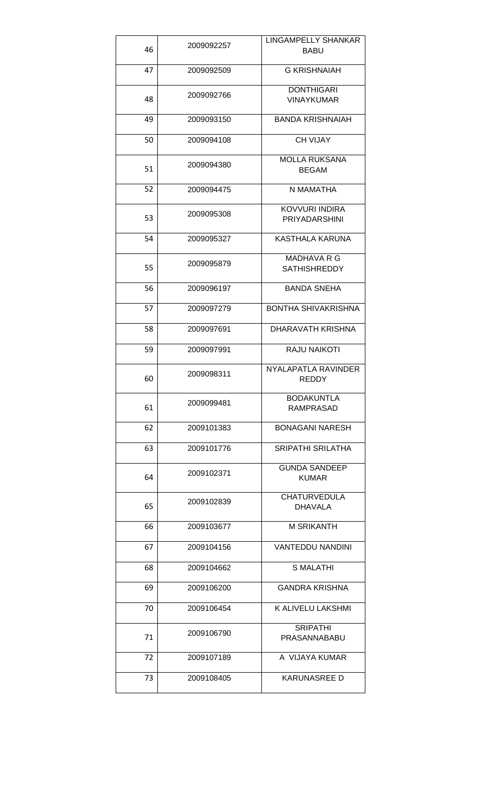|    |            | <b>LINGAMPELLY SHANKAR</b>                    |
|----|------------|-----------------------------------------------|
| 46 | 2009092257 | <b>BABU</b>                                   |
| 47 | 2009092509 | <b>G KRISHNAIAH</b>                           |
|    |            | <b>DONTHIGARI</b>                             |
| 48 | 2009092766 | <b>VINAYKUMAR</b>                             |
| 49 | 2009093150 | <b>BANDA KRISHNAIAH</b>                       |
| 50 | 2009094108 | <b>CH VIJAY</b>                               |
| 51 | 2009094380 | <b>MOLLA RUKSANA</b><br><b>BEGAM</b>          |
| 52 | 2009094475 | N MAMATHA                                     |
| 53 | 2009095308 | <b>KOVVURI INDIRA</b><br><b>PRIYADARSHINI</b> |
|    |            |                                               |
| 54 | 2009095327 | KASTHALA KARUNA                               |
|    | 2009095879 | MADHAVA R G                                   |
| 55 |            | <b>SATHISHREDDY</b>                           |
| 56 | 2009096197 | <b>BANDA SNEHA</b>                            |
| 57 | 2009097279 | BONTHA SHIVAKRISHNA                           |
| 58 | 2009097691 | DHARAVATH KRISHNA                             |
| 59 | 2009097991 | <b>RAJU NAIKOTI</b>                           |
|    |            |                                               |
| 60 | 2009098311 | NYALAPATLA RAVINDER<br><b>REDDY</b>           |
| 61 | 2009099481 | <b>BODAKUNTLA</b><br>RAMPRASAD                |
| 62 | 2009101383 | <b>BONAGANI NARESH</b>                        |
| 63 | 2009101776 | <b>SRIPATHI SRILATHA</b>                      |
| 64 | 2009102371 | <b>GUNDA SANDEEP</b><br><b>KUMAR</b>          |
| 65 | 2009102839 | <b>CHATURVEDULA</b><br><b>DHAVALA</b>         |
| 66 | 2009103677 | M SRIKANTH                                    |
| 67 | 2009104156 | <b>VANTEDDU NANDINI</b>                       |
| 68 | 2009104662 | <b>S MALATHI</b>                              |
| 69 | 2009106200 | <b>GANDRA KRISHNA</b>                         |
| 70 | 2009106454 | K ALIVELU LAKSHMI                             |
| 71 | 2009106790 | <b>SRIPATHI</b><br>PRASANNABABU               |
| 72 | 2009107189 | A VIJAYA KUMAR                                |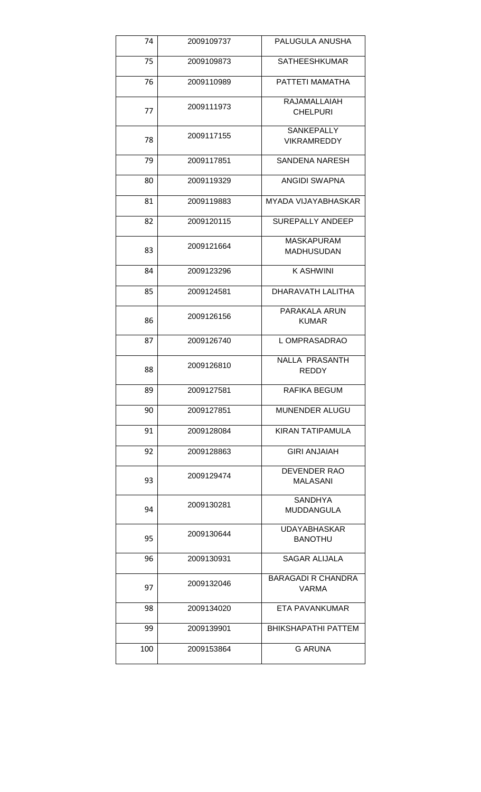| 74  | 2009109737 | PALUGULA ANUSHA                           |
|-----|------------|-------------------------------------------|
| 75  | 2009109873 | <b>SATHEESHKUMAR</b>                      |
| 76  | 2009110989 | PATTETI MAMATHA                           |
| 77  | 2009111973 | RAJAMALLAIAH<br><b>CHELPURI</b>           |
| 78  | 2009117155 | <b>SANKEPALLY</b><br><b>VIKRAMREDDY</b>   |
| 79  | 2009117851 | <b>SANDENA NARESH</b>                     |
| 80  | 2009119329 | <b>ANGIDI SWAPNA</b>                      |
| 81  | 2009119883 | <b>MYADA VIJAYABHASKAR</b>                |
| 82  | 2009120115 | SUREPALLY ANDEEP                          |
| 83  | 2009121664 | <b>MASKAPURAM</b><br><b>MADHUSUDAN</b>    |
| 84  | 2009123296 | <b>KASHWINI</b>                           |
| 85  | 2009124581 | DHARAVATH LALITHA                         |
| 86  | 2009126156 | PARAKALA ARUN<br><b>KUMAR</b>             |
| 87  | 2009126740 | L OMPRASADRAO                             |
| 88  | 2009126810 | NALLA PRASANTH<br><b>REDDY</b>            |
| 89  | 2009127581 | RAFIKA BEGUM                              |
| 90  | 2009127851 | <b>MUNENDER ALUGU</b>                     |
| 91  | 2009128084 | KIRAN TATIPAMULA                          |
| 92  | 2009128863 | <b>GIRI ANJAIAH</b>                       |
| 93  | 2009129474 | <b>DEVENDER RAO</b><br><b>MALASANI</b>    |
| 94  | 2009130281 | <b>SANDHYA</b><br><b>MUDDANGULA</b>       |
| 95  | 2009130644 | <b>UDAYABHASKAR</b><br><b>BANOTHU</b>     |
| 96  | 2009130931 | <b>SAGAR ALIJALA</b>                      |
| 97  | 2009132046 | <b>BARAGADI R CHANDRA</b><br><b>VARMA</b> |
| 98  | 2009134020 | ETA PAVANKUMAR                            |
| 99  | 2009139901 | <b>BHIKSHAPATHI PATTEM</b>                |
| 100 | 2009153864 | <b>G ARUNA</b>                            |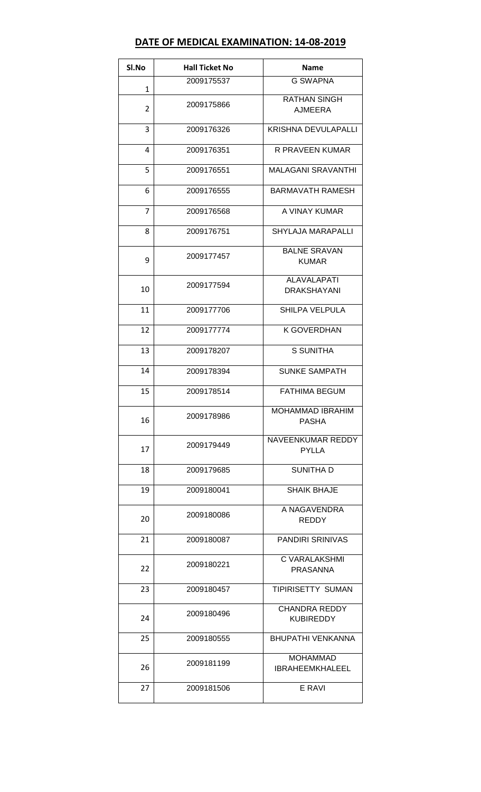# **DATE OF MEDICAL EXAMINATION: 14-08-2019**

| SI.No          | <b>Hall Ticket No</b> | <b>Name</b>                               |
|----------------|-----------------------|-------------------------------------------|
| $\mathbf{1}$   | 2009175537            | <b>G SWAPNA</b>                           |
| $\overline{2}$ | 2009175866            | <b>RATHAN SINGH</b><br><b>AJMEERA</b>     |
| 3              | 2009176326            | <b>KRISHNA DEVULAPALLI</b>                |
| 4              | 2009176351            | R PRAVEEN KUMAR                           |
| 5              | 2009176551            | <b>MALAGANI SRAVANTHI</b>                 |
| 6              | 2009176555            | <b>BARMAVATH RAMESH</b>                   |
| $\overline{7}$ | 2009176568            | A VINAY KUMAR                             |
| 8              | 2009176751            | <b>SHYLAJA MARAPALLI</b>                  |
| 9              | 2009177457            | <b>BALNE SRAVAN</b><br><b>KUMAR</b>       |
| 10             | 2009177594            | <b>ALAVALAPATI</b><br><b>DRAKSHAYANI</b>  |
| 11             | 2009177706            | <b>SHILPA VELPULA</b>                     |
| 12             | 2009177774            | K GOVERDHAN                               |
| 13             | 2009178207            | <b>S SUNITHA</b>                          |
| 14             | 2009178394            | <b>SUNKE SAMPATH</b>                      |
| 15             | 2009178514            | <b>FATHIMA BEGUM</b>                      |
| 16             | 2009178986            | MOHAMMAD IBRAHIM<br><b>PASHA</b>          |
| 17             | 2009179449            | NAVEENKUMAR REDDY<br><b>PYLLA</b>         |
| 18             | 2009179685            | <b>SUNITHA D</b>                          |
| 19             | 2009180041            | <b>SHAIK BHAJE</b>                        |
| 20             | 2009180086            | A NAGAVENDRA<br><b>REDDY</b>              |
| 21             | 2009180087            | <b>PANDIRI SRINIVAS</b>                   |
| 22             | 2009180221            | C VARALAKSHMI<br><b>PRASANNA</b>          |
| 23             | 2009180457            | <b>TIPIRISETTY SUMAN</b>                  |
| 24             | 2009180496            | <b>CHANDRA REDDY</b><br><b>KUBIREDDY</b>  |
| 25             | 2009180555            | <b>BHUPATHI VENKANNA</b>                  |
| 26             | 2009181199            | <b>MOHAMMAD</b><br><b>IBRAHEEMKHALEEL</b> |
| 27             | 2009181506            | E RAVI                                    |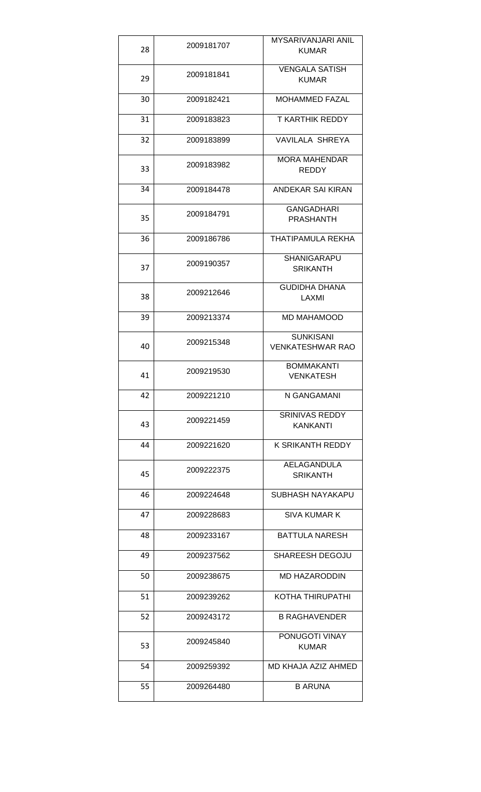| 28 | 2009181707 | MYSARIVANJARI ANIL<br><b>KUMAR</b>          |
|----|------------|---------------------------------------------|
| 29 | 2009181841 | <b>VENGALA SATISH</b><br><b>KUMAR</b>       |
| 30 | 2009182421 | <b>MOHAMMED FAZAL</b>                       |
| 31 | 2009183823 | T KARTHIK REDDY                             |
| 32 | 2009183899 | VAVILALA SHREYA                             |
| 33 | 2009183982 | <b>MORA MAHENDAR</b><br><b>REDDY</b>        |
| 34 | 2009184478 | ANDEKAR SAI KIRAN                           |
| 35 | 2009184791 | <b>GANGADHARI</b><br><b>PRASHANTH</b>       |
| 36 | 2009186786 | THATIPAMULA REKHA                           |
| 37 | 2009190357 | <b>SHANIGARAPU</b><br><b>SRIKANTH</b>       |
| 38 | 2009212646 | <b>GUDIDHA DHANA</b><br>LAXMI               |
| 39 | 2009213374 | MD MAHAMOOD                                 |
| 40 | 2009215348 | <b>SUNKISANI</b><br><b>VENKATESHWAR RAO</b> |
| 41 | 2009219530 | <b>BOMMAKANTI</b><br><b>VENKATESH</b>       |
| 42 | 2009221210 | N GANGAMANI                                 |
| 43 | 2009221459 | <b>SRINIVAS REDDY</b><br><b>KANKANTI</b>    |
| 44 | 2009221620 | K SRIKANTH REDDY                            |
| 45 | 2009222375 | AELAGANDULA<br><b>SRIKANTH</b>              |
| 46 | 2009224648 | SUBHASH NAYAKAPU                            |
| 47 | 2009228683 | <b>SIVA KUMAR K</b>                         |
| 48 | 2009233167 | BATTULA NARESH                              |
| 49 | 2009237562 | <b>SHAREESH DEGOJU</b>                      |
| 50 | 2009238675 | <b>MD HAZARODDIN</b>                        |
| 51 | 2009239262 | KOTHA THIRUPATHI                            |
| 52 | 2009243172 | <b>B RAGHAVENDER</b>                        |
| 53 | 2009245840 | PONUGOTI VINAY<br><b>KUMAR</b>              |
| 54 | 2009259392 | MD KHAJA AZIZ AHMED                         |
| 55 | 2009264480 | <b>B ARUNA</b>                              |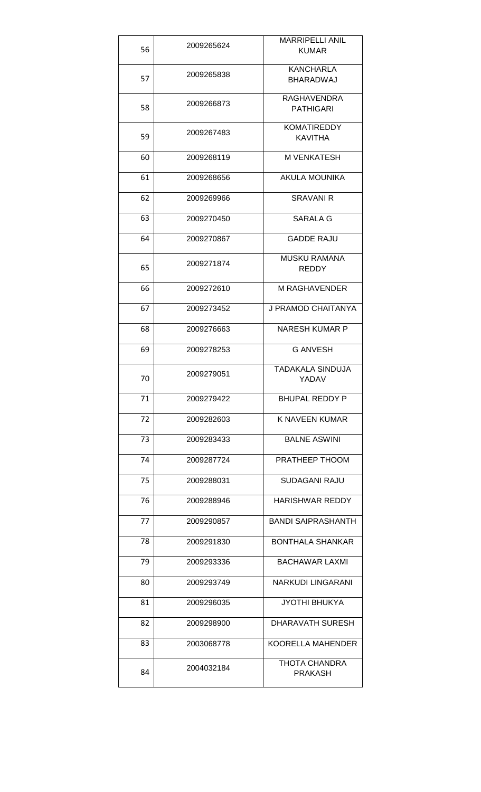| 56 | 2009265624 | <b>MARRIPELLI ANIL</b><br><b>KUMAR</b> |
|----|------------|----------------------------------------|
| 57 | 2009265838 | <b>KANCHARLA</b><br><b>BHARADWAJ</b>   |
| 58 | 2009266873 | RAGHAVENDRA<br><b>PATHIGARI</b>        |
| 59 | 2009267483 | <b>KOMATIREDDY</b><br><b>KAVITHA</b>   |
| 60 | 2009268119 | M VENKATESH                            |
| 61 | 2009268656 | <b>AKULA MOUNIKA</b>                   |
| 62 | 2009269966 | <b>SRAVANI R</b>                       |
| 63 | 2009270450 | SARALA G                               |
| 64 | 2009270867 | <b>GADDE RAJU</b>                      |
| 65 | 2009271874 | <b>MUSKU RAMANA</b><br>REDDY           |
| 66 | 2009272610 | M RAGHAVENDER                          |
| 67 | 2009273452 | J PRAMOD CHAITANYA                     |
| 68 | 2009276663 | <b>NARESH KUMAR P</b>                  |
| 69 | 2009278253 | <b>G ANVESH</b>                        |
| 70 | 2009279051 | TADAKALA SINDUJA<br>YADAV              |
| 71 | 2009279422 | <b>BHUPAL REDDY P</b>                  |
| 72 | 2009282603 | K NAVEEN KUMAR                         |
| 73 | 2009283433 | <b>BALNE ASWINI</b>                    |
| 74 | 2009287724 | PRATHEEP THOOM                         |
| 75 | 2009288031 | SUDAGANI RAJU                          |
| 76 | 2009288946 | <b>HARISHWAR REDDY</b>                 |
| 77 | 2009290857 | <b>BANDI SAIPRASHANTH</b>              |
| 78 | 2009291830 | <b>BONTHALA SHANKAR</b>                |
| 79 | 2009293336 | <b>BACHAWAR LAXMI</b>                  |
| 80 | 2009293749 | NARKUDI LINGARANI                      |
| 81 | 2009296035 | <b>JYOTHI BHUKYA</b>                   |
| 82 | 2009298900 | <b>DHARAVATH SURESH</b>                |
| 83 | 2003068778 | <b>KOORELLA MAHENDER</b>               |
| 84 | 2004032184 | THOTA CHANDRA<br>PRAKASH               |